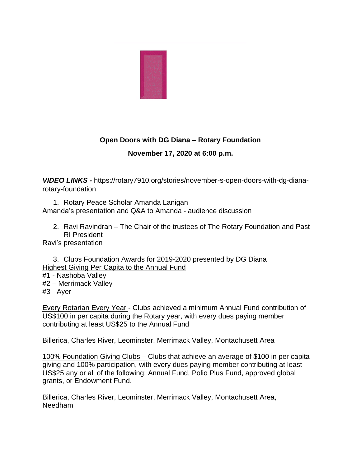

## **Open Doors with DG Diana – Rotary Foundation November 17, 2020 at 6:00 p.m.**

*VIDEO LINKS -* https://rotary7910.org/stories/november-s-open-doors-with-dg-dianarotary-foundation

1. Rotary Peace Scholar Amanda Lanigan Amanda's presentation and Q&A to Amanda - audience discussion

2. Ravi Ravindran – The Chair of the trustees of The Rotary Foundation and Past RI President

Ravi's presentation

3. Clubs Foundation Awards for 2019-2020 presented by DG Diana Highest Giving Per Capita to the Annual Fund

#1 - Nashoba Valley #2 – Merrimack Valley #3 - Ayer

Every Rotarian Every Year - Clubs achieved a minimum Annual Fund contribution of US\$100 in per capita during the Rotary year, with every dues paying member contributing at least US\$25 to the Annual Fund

Billerica, Charles River, Leominster, Merrimack Valley, Montachusett Area

100% Foundation Giving Clubs – Clubs that achieve an average of \$100 in per capita giving and 100% participation, with every dues paying member contributing at least US\$25 any or all of the following: Annual Fund, Polio Plus Fund, approved global grants, or Endowment Fund.

Billerica, Charles River, Leominster, Merrimack Valley, Montachusett Area, Needham